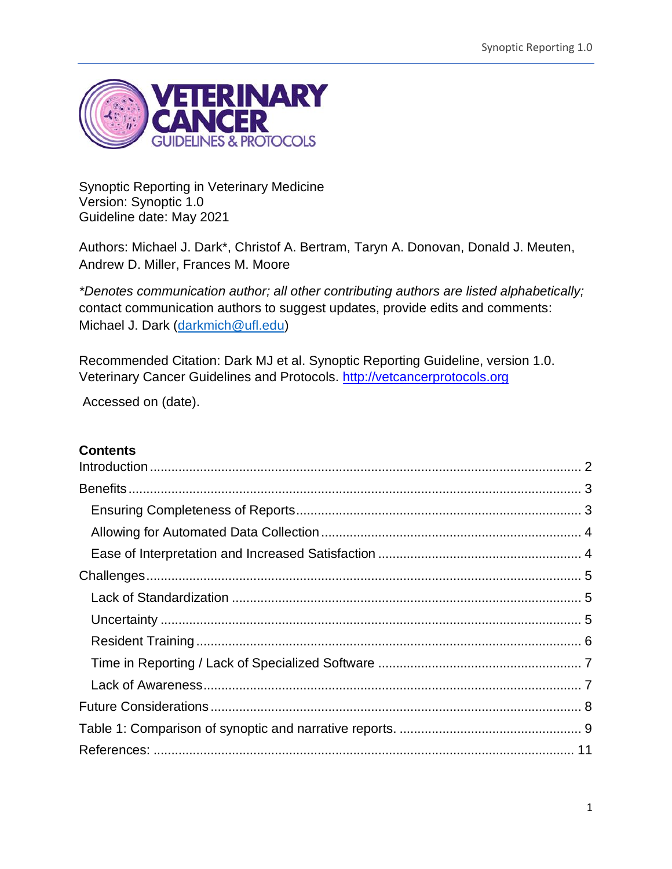

Synoptic Reporting in Veterinary Medicine Version: Synoptic 1.0 Guideline date: May 2021

Authors: Michael J. Dark\*, Christof A. Bertram, Taryn A. Donovan, Donald J. Meuten, Andrew D. Miller, Frances M. Moore

*\*Denotes communication author; all other contributing authors are listed alphabetically;*  contact communication authors to suggest updates, provide edits and comments: Michael J. Dark [\(darkmich@ufl.edu\)](mailto:darkmich@ufl.edu)

Recommended Citation: Dark MJ et al. Synoptic Reporting Guideline, version 1.0. Veterinary Cancer Guidelines and Protocols. [http://vetcancerprotocols.org](http://vetcancerprotocols.org/)

Accessed on (date).

# **Contents**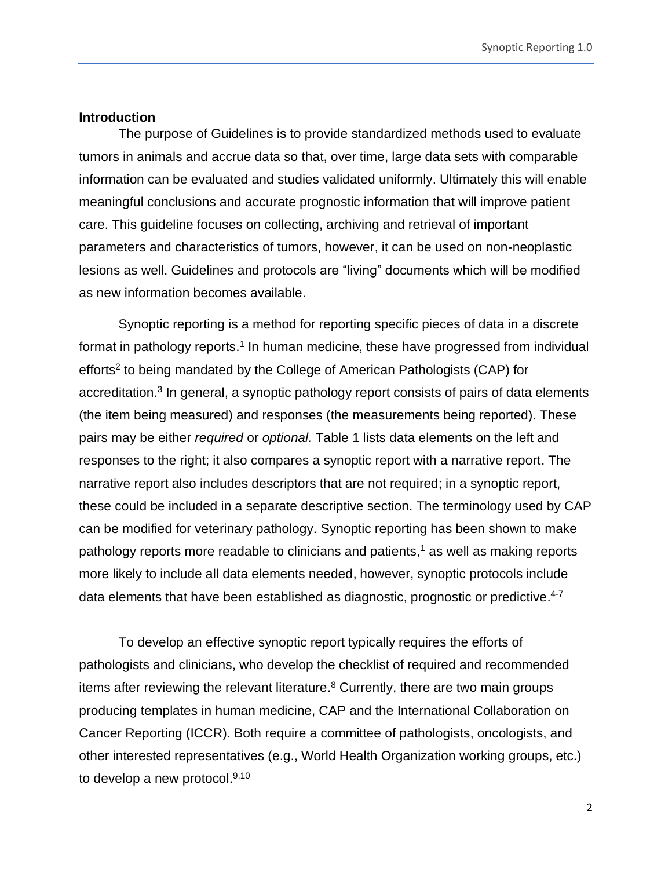### <span id="page-1-0"></span>**Introduction**

The purpose of Guidelines is to provide standardized methods used to evaluate tumors in animals and accrue data so that, over time, large data sets with comparable information can be evaluated and studies validated uniformly. Ultimately this will enable meaningful conclusions and accurate prognostic information that will improve patient care. This guideline focuses on collecting, archiving and retrieval of important parameters and characteristics of tumors, however, it can be used on non-neoplastic lesions as well. Guidelines and protocols are "living" documents which will be modified as new information becomes available.

Synoptic reporting is a method for reporting specific pieces of data in a discrete format in pathology reports.<sup>1</sup> In human medicine, these have progressed from individual efforts<sup>2</sup> to being mandated by the College of American Pathologists (CAP) for accreditation.<sup>3</sup> In general, a synoptic pathology report consists of pairs of data elements (the item being measured) and responses (the measurements being reported). These pairs may be either *required* or *optional.* Table 1 lists data elements on the left and responses to the right; it also compares a synoptic report with a narrative report. The narrative report also includes descriptors that are not required; in a synoptic report, these could be included in a separate descriptive section. The terminology used by CAP can be modified for veterinary pathology. Synoptic reporting has been shown to make pathology reports more readable to clinicians and patients, <sup>1</sup> as well as making reports more likely to include all data elements needed, however, synoptic protocols include data elements that have been established as diagnostic, prognostic or predictive.<sup>4-7</sup>

To develop an effective synoptic report typically requires the efforts of pathologists and clinicians, who develop the checklist of required and recommended items after reviewing the relevant literature.<sup>8</sup> Currently, there are two main groups producing templates in human medicine, CAP and the International Collaboration on Cancer Reporting (ICCR). Both require a committee of pathologists, oncologists, and other interested representatives (e.g., World Health Organization working groups, etc.) to develop a new protocol.<sup>9,10</sup>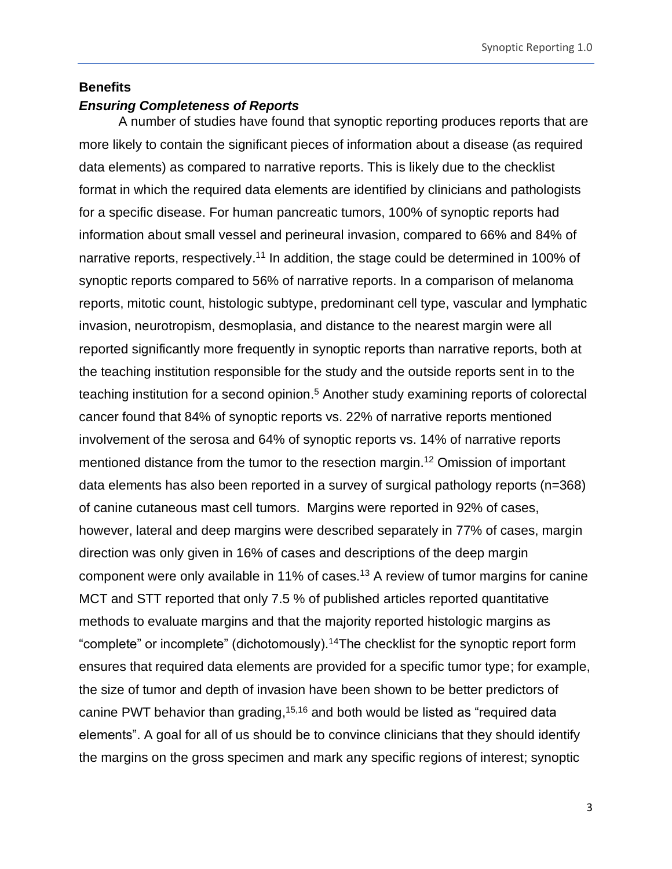### <span id="page-2-0"></span>**Benefits**

# <span id="page-2-1"></span>*Ensuring Completeness of Reports*

A number of studies have found that synoptic reporting produces reports that are more likely to contain the significant pieces of information about a disease (as required data elements) as compared to narrative reports. This is likely due to the checklist format in which the required data elements are identified by clinicians and pathologists for a specific disease. For human pancreatic tumors, 100% of synoptic reports had information about small vessel and perineural invasion, compared to 66% and 84% of narrative reports, respectively.<sup>11</sup> In addition, the stage could be determined in 100% of synoptic reports compared to 56% of narrative reports. In a comparison of melanoma reports, mitotic count, histologic subtype, predominant cell type, vascular and lymphatic invasion, neurotropism, desmoplasia, and distance to the nearest margin were all reported significantly more frequently in synoptic reports than narrative reports, both at the teaching institution responsible for the study and the outside reports sent in to the teaching institution for a second opinion.<sup>5</sup> Another study examining reports of colorectal cancer found that 84% of synoptic reports vs. 22% of narrative reports mentioned involvement of the serosa and 64% of synoptic reports vs. 14% of narrative reports mentioned distance from the tumor to the resection margin. <sup>12</sup> Omission of important data elements has also been reported in a survey of surgical pathology reports (n=368) of canine cutaneous mast cell tumors. Margins were reported in 92% of cases, however, lateral and deep margins were described separately in 77% of cases, margin direction was only given in 16% of cases and descriptions of the deep margin component were only available in 11% of cases.<sup>13</sup> A review of tumor margins for canine MCT and STT reported that only 7.5 % of published articles reported quantitative methods to evaluate margins and that the majority reported histologic margins as "complete" or incomplete" (dichotomously).<sup>14</sup>The checklist for the synoptic report form ensures that required data elements are provided for a specific tumor type; for example, the size of tumor and depth of invasion have been shown to be better predictors of canine PWT behavior than grading,<sup>15,16</sup> and both would be listed as "required data elements". A goal for all of us should be to convince clinicians that they should identify the margins on the gross specimen and mark any specific regions of interest; synoptic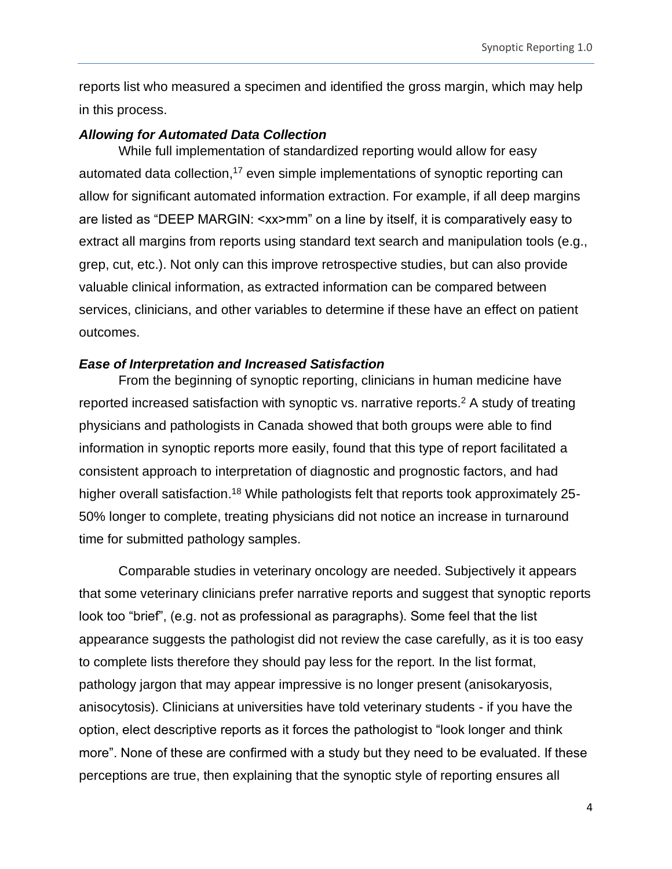reports list who measured a specimen and identified the gross margin, which may help in this process.

#### <span id="page-3-0"></span>*Allowing for Automated Data Collection*

While full implementation of standardized reporting would allow for easy automated data collection,<sup>17</sup> even simple implementations of synoptic reporting can allow for significant automated information extraction. For example, if all deep margins are listed as "DEEP MARGIN: <xx>mm" on a line by itself, it is comparatively easy to extract all margins from reports using standard text search and manipulation tools (e.g., grep, cut, etc.). Not only can this improve retrospective studies, but can also provide valuable clinical information, as extracted information can be compared between services, clinicians, and other variables to determine if these have an effect on patient outcomes.

### <span id="page-3-1"></span>*Ease of Interpretation and Increased Satisfaction*

From the beginning of synoptic reporting, clinicians in human medicine have reported increased satisfaction with synoptic vs. narrative reports. <sup>2</sup> A study of treating physicians and pathologists in Canada showed that both groups were able to find information in synoptic reports more easily, found that this type of report facilitated a consistent approach to interpretation of diagnostic and prognostic factors, and had higher overall satisfaction.<sup>18</sup> While pathologists felt that reports took approximately 25-50% longer to complete, treating physicians did not notice an increase in turnaround time for submitted pathology samples.

Comparable studies in veterinary oncology are needed. Subjectively it appears that some veterinary clinicians prefer narrative reports and suggest that synoptic reports look too "brief", (e.g. not as professional as paragraphs). Some feel that the list appearance suggests the pathologist did not review the case carefully, as it is too easy to complete lists therefore they should pay less for the report. In the list format, pathology jargon that may appear impressive is no longer present (anisokaryosis, anisocytosis). Clinicians at universities have told veterinary students - if you have the option, elect descriptive reports as it forces the pathologist to "look longer and think more". None of these are confirmed with a study but they need to be evaluated. If these perceptions are true, then explaining that the synoptic style of reporting ensures all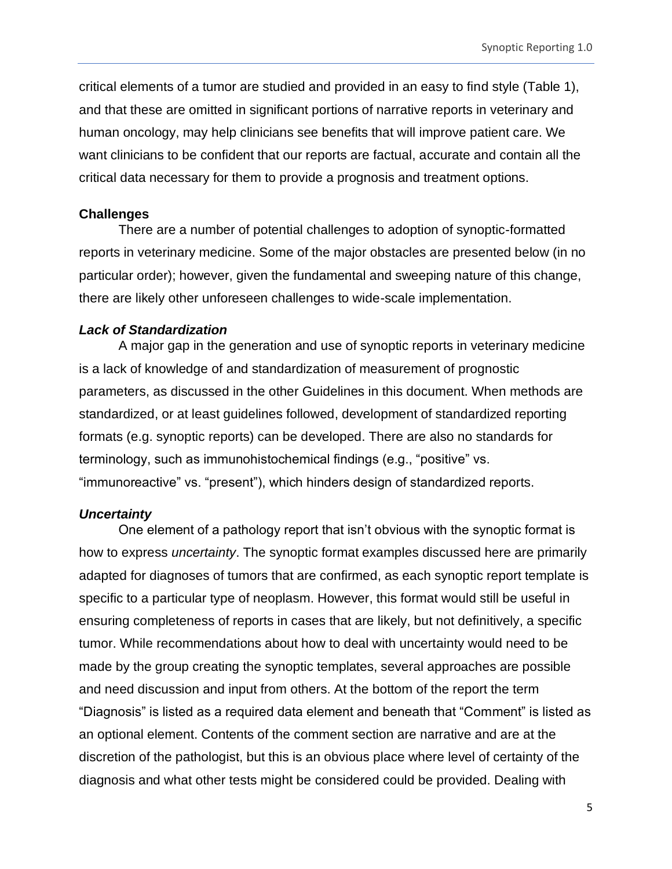critical elements of a tumor are studied and provided in an easy to find style (Table 1), and that these are omitted in significant portions of narrative reports in veterinary and human oncology, may help clinicians see benefits that will improve patient care. We want clinicians to be confident that our reports are factual, accurate and contain all the critical data necessary for them to provide a prognosis and treatment options.

#### <span id="page-4-0"></span>**Challenges**

There are a number of potential challenges to adoption of synoptic-formatted reports in veterinary medicine. Some of the major obstacles are presented below (in no particular order); however, given the fundamental and sweeping nature of this change, there are likely other unforeseen challenges to wide-scale implementation.

# <span id="page-4-1"></span>*Lack of Standardization*

A major gap in the generation and use of synoptic reports in veterinary medicine is a lack of knowledge of and standardization of measurement of prognostic parameters, as discussed in the other Guidelines in this document. When methods are standardized, or at least guidelines followed, development of standardized reporting formats (e.g. synoptic reports) can be developed. There are also no standards for terminology, such as immunohistochemical findings (e.g., "positive" vs. "immunoreactive" vs. "present"), which hinders design of standardized reports.

# <span id="page-4-2"></span>*Uncertainty*

One element of a pathology report that isn't obvious with the synoptic format is how to express *uncertainty*. The synoptic format examples discussed here are primarily adapted for diagnoses of tumors that are confirmed, as each synoptic report template is specific to a particular type of neoplasm. However, this format would still be useful in ensuring completeness of reports in cases that are likely, but not definitively, a specific tumor. While recommendations about how to deal with uncertainty would need to be made by the group creating the synoptic templates, several approaches are possible and need discussion and input from others. At the bottom of the report the term "Diagnosis" is listed as a required data element and beneath that "Comment" is listed as an optional element. Contents of the comment section are narrative and are at the discretion of the pathologist, but this is an obvious place where level of certainty of the diagnosis and what other tests might be considered could be provided. Dealing with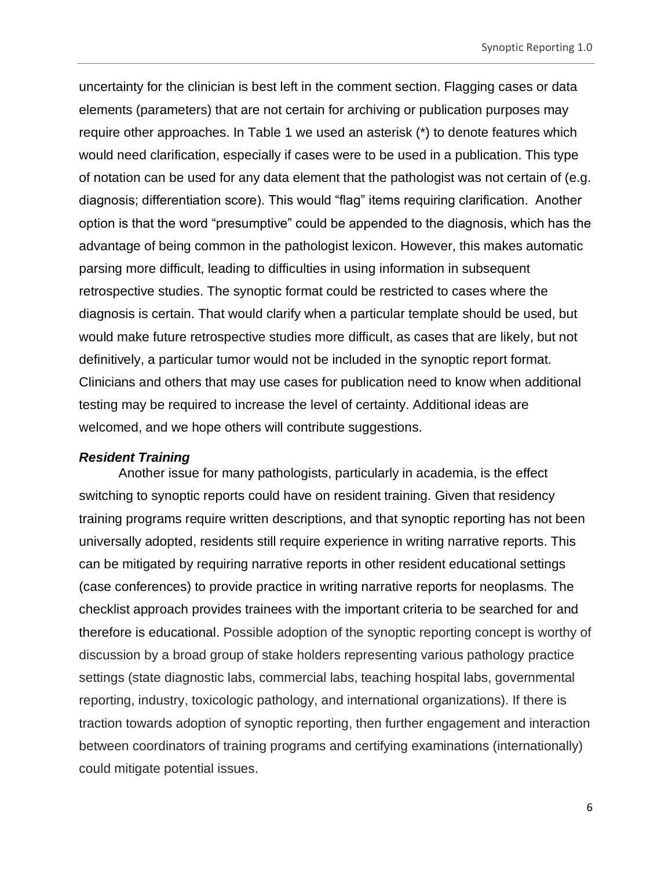uncertainty for the clinician is best left in the comment section. Flagging cases or data elements (parameters) that are not certain for archiving or publication purposes may require other approaches. In Table 1 we used an asterisk (\*) to denote features which would need clarification, especially if cases were to be used in a publication. This type of notation can be used for any data element that the pathologist was not certain of (e.g. diagnosis; differentiation score). This would "flag" items requiring clarification. Another option is that the word "presumptive" could be appended to the diagnosis, which has the advantage of being common in the pathologist lexicon. However, this makes automatic parsing more difficult, leading to difficulties in using information in subsequent retrospective studies. The synoptic format could be restricted to cases where the diagnosis is certain. That would clarify when a particular template should be used, but would make future retrospective studies more difficult, as cases that are likely, but not definitively, a particular tumor would not be included in the synoptic report format. Clinicians and others that may use cases for publication need to know when additional testing may be required to increase the level of certainty. Additional ideas are welcomed, and we hope others will contribute suggestions.

#### <span id="page-5-0"></span>*Resident Training*

Another issue for many pathologists, particularly in academia, is the effect switching to synoptic reports could have on resident training. Given that residency training programs require written descriptions, and that synoptic reporting has not been universally adopted, residents still require experience in writing narrative reports. This can be mitigated by requiring narrative reports in other resident educational settings (case conferences) to provide practice in writing narrative reports for neoplasms. The checklist approach provides trainees with the important criteria to be searched for and therefore is educational. Possible adoption of the synoptic reporting concept is worthy of discussion by a broad group of stake holders representing various pathology practice settings (state diagnostic labs, commercial labs, teaching hospital labs, governmental reporting, industry, toxicologic pathology, and international organizations). If there is traction towards adoption of synoptic reporting, then further engagement and interaction between coordinators of training programs and certifying examinations (internationally) could mitigate potential issues.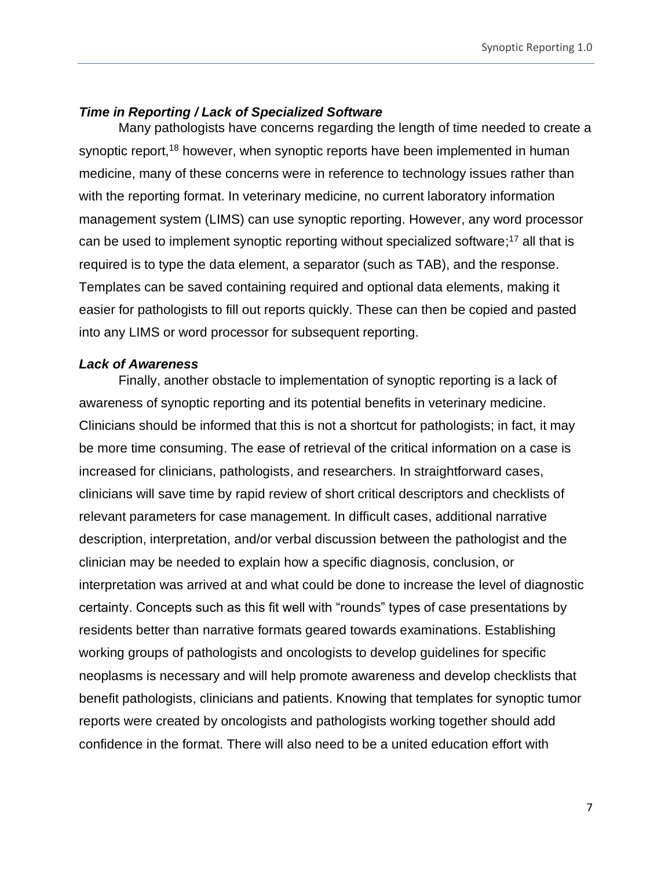### <span id="page-6-0"></span>*Time in Reporting / Lack of Specialized Software*

Many pathologists have concerns regarding the length of time needed to create a synoptic report,<sup>18</sup> however, when synoptic reports have been implemented in human medicine, many of these concerns were in reference to technology issues rather than with the reporting format. In veterinary medicine, no current laboratory information management system (LIMS) can use synoptic reporting. However, any word processor can be used to implement synoptic reporting without specialized software;<sup>17</sup> all that is required is to type the data element, a separator (such as TAB), and the response. Templates can be saved containing required and optional data elements, making it easier for pathologists to fill out reports quickly. These can then be copied and pasted into any LIMS or word processor for subsequent reporting.

### <span id="page-6-1"></span>*Lack of Awareness*

Finally, another obstacle to implementation of synoptic reporting is a lack of awareness of synoptic reporting and its potential benefits in veterinary medicine. Clinicians should be informed that this is not a shortcut for pathologists; in fact, it may be more time consuming. The ease of retrieval of the critical information on a case is increased for clinicians, pathologists, and researchers. In straightforward cases, clinicians will save time by rapid review of short critical descriptors and checklists of relevant parameters for case management. In difficult cases, additional narrative description, interpretation, and/or verbal discussion between the pathologist and the clinician may be needed to explain how a specific diagnosis, conclusion, or interpretation was arrived at and what could be done to increase the level of diagnostic certainty. Concepts such as this fit well with "rounds" types of case presentations by residents better than narrative formats geared towards examinations. Establishing working groups of pathologists and oncologists to develop guidelines for specific neoplasms is necessary and will help promote awareness and develop checklists that benefit pathologists, clinicians and patients. Knowing that templates for synoptic tumor reports were created by oncologists and pathologists working together should add confidence in the format. There will also need to be a united education effort with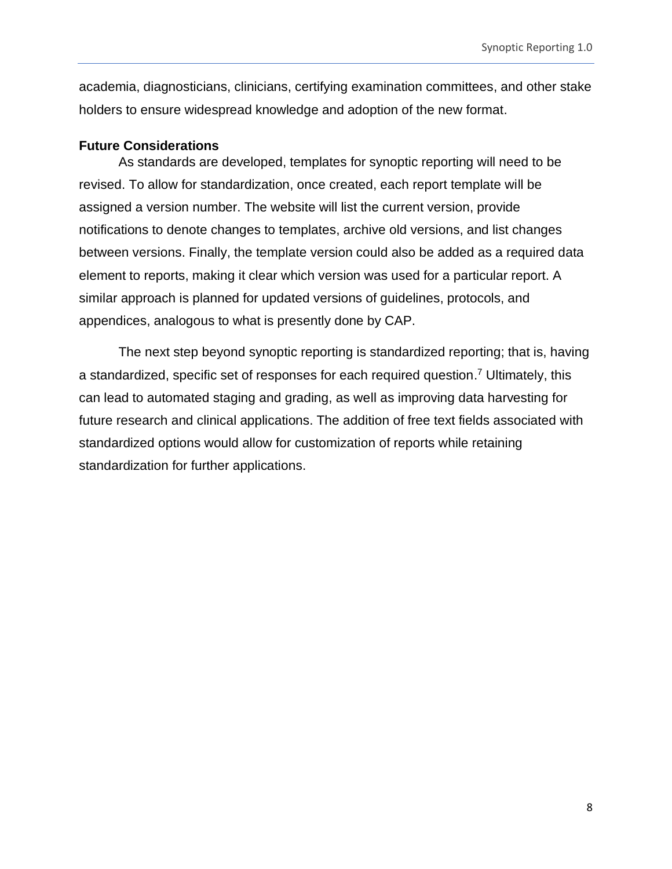academia, diagnosticians, clinicians, certifying examination committees, and other stake holders to ensure widespread knowledge and adoption of the new format.

#### <span id="page-7-0"></span>**Future Considerations**

As standards are developed, templates for synoptic reporting will need to be revised. To allow for standardization, once created, each report template will be assigned a version number. The website will list the current version, provide notifications to denote changes to templates, archive old versions, and list changes between versions. Finally, the template version could also be added as a required data element to reports, making it clear which version was used for a particular report. A similar approach is planned for updated versions of guidelines, protocols, and appendices, analogous to what is presently done by CAP.

The next step beyond synoptic reporting is standardized reporting; that is, having a standardized, specific set of responses for each required question. <sup>7</sup> Ultimately, this can lead to automated staging and grading, as well as improving data harvesting for future research and clinical applications. The addition of free text fields associated with standardized options would allow for customization of reports while retaining standardization for further applications.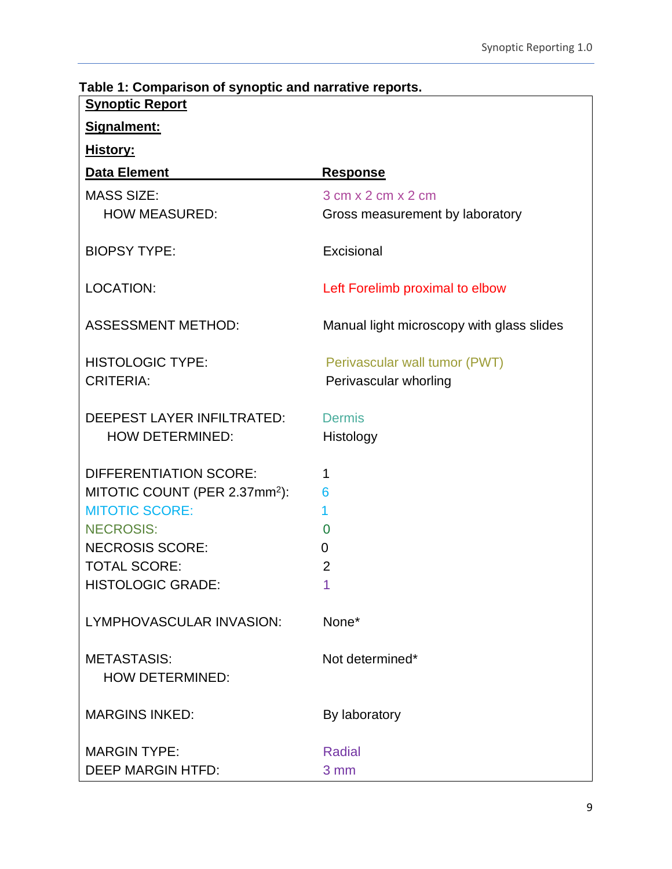| i able 1: Comparison of synoptic and narrative reports.<br><b>Synoptic Report</b> |                                                        |  |  |  |
|-----------------------------------------------------------------------------------|--------------------------------------------------------|--|--|--|
| Signalment:                                                                       |                                                        |  |  |  |
| <u>History:</u>                                                                   |                                                        |  |  |  |
| <b>Data Element</b>                                                               | <u>Response</u>                                        |  |  |  |
| <b>MASS SIZE:</b>                                                                 | $3 \text{ cm} \times 2 \text{ cm} \times 2 \text{ cm}$ |  |  |  |
| <b>HOW MEASURED:</b>                                                              | Gross measurement by laboratory                        |  |  |  |
| <b>BIOPSY TYPE:</b>                                                               | Excisional                                             |  |  |  |
| <b>LOCATION:</b>                                                                  | Left Forelimb proximal to elbow                        |  |  |  |
| <b>ASSESSMENT METHOD:</b>                                                         | Manual light microscopy with glass slides              |  |  |  |
| <b>HISTOLOGIC TYPE:</b>                                                           | Perivascular wall tumor (PWT)                          |  |  |  |
| <b>CRITERIA:</b>                                                                  | Perivascular whorling                                  |  |  |  |
| DEEPEST LAYER INFILTRATED:<br><b>HOW DETERMINED:</b>                              | <b>Dermis</b><br>Histology                             |  |  |  |
| <b>DIFFERENTIATION SCORE:</b>                                                     | 1                                                      |  |  |  |
| MITOTIC COUNT (PER 2.37mm <sup>2</sup> ):                                         | 6                                                      |  |  |  |
| <b>MITOTIC SCORE:</b>                                                             | 1                                                      |  |  |  |
| <b>NECROSIS:</b>                                                                  | $\overline{0}$                                         |  |  |  |
| <b>NECROSIS SCORE:</b>                                                            | 0                                                      |  |  |  |
| <b>TOTAL SCORE:</b>                                                               | $\overline{2}$                                         |  |  |  |
| <b>HISTOLOGIC GRADE:</b>                                                          | 1                                                      |  |  |  |
| LYMPHOVASCULAR INVASION:                                                          | None*                                                  |  |  |  |
| <b>METASTASIS:</b>                                                                | Not determined*                                        |  |  |  |
| <b>HOW DETERMINED:</b>                                                            |                                                        |  |  |  |
| <b>MARGINS INKED:</b>                                                             | By laboratory                                          |  |  |  |
| <b>MARGIN TYPE:</b>                                                               | <b>Radial</b>                                          |  |  |  |
| <b>DEEP MARGIN HTFD:</b>                                                          | 3 mm                                                   |  |  |  |

# <span id="page-8-0"></span>**Table 1: Comparison of synoptic and narrative reports.**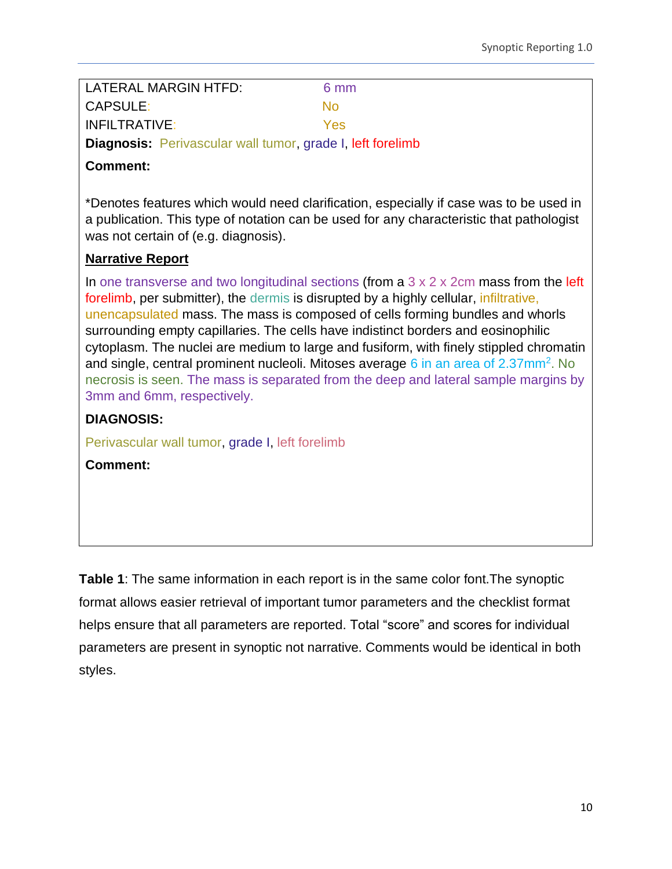| LATERAL MARGIN HTFD:                                              | 6 mm |
|-------------------------------------------------------------------|------|
| CAPSULE:                                                          | Nο   |
| INFILTRATIVE:                                                     | Yes  |
| <b>Diagnosis:</b> Perivascular wall tumor, grade I, left forelimb |      |

# **Comment:**

\*Denotes features which would need clarification, especially if case was to be used in a publication. This type of notation can be used for any characteristic that pathologist was not certain of (e.g. diagnosis).

# **Narrative Report**

In one transverse and two longitudinal sections (from a  $3 \times 2 \times 2$ cm mass from the left forelimb, per submitter), the dermis is disrupted by a highly cellular, infiltrative, unencapsulated mass. The mass is composed of cells forming bundles and whorls surrounding empty capillaries. The cells have indistinct borders and eosinophilic cytoplasm. The nuclei are medium to large and fusiform, with finely stippled chromatin and single, central prominent nucleoli. Mitoses average 6 in an area of 2.37mm<sup>2</sup>. No necrosis is seen. The mass is separated from the deep and lateral sample margins by 3mm and 6mm, respectively.

# **DIAGNOSIS:**

Perivascular wall tumor, grade I, left forelimb

**Comment:**

**Table 1**: The same information in each report is in the same color font.The synoptic format allows easier retrieval of important tumor parameters and the checklist format helps ensure that all parameters are reported. Total "score" and scores for individual parameters are present in synoptic not narrative. Comments would be identical in both styles.